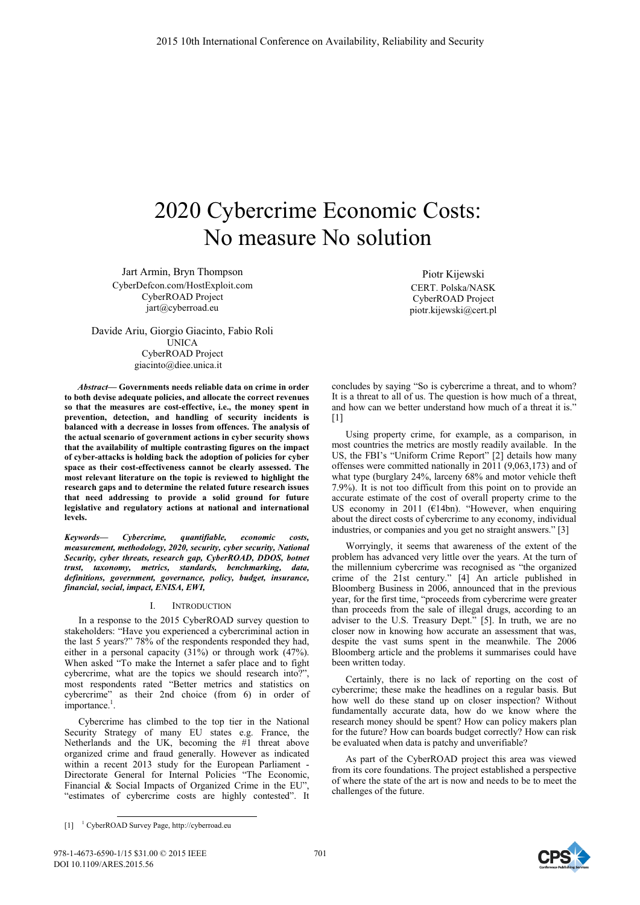# 2020 Cybercrime Economic Costs: No measure No solution

Jart Armin, Bryn Thompson CyberDefcon.com/HostExploit.com CyberROAD Project jart@cyberroad.eu

Davide Ariu, Giorgio Giacinto, Fabio Roli UNICA CyberROAD Project giacinto@diee.unica.it

*Abstract***— Governments needs reliable data on crime in order to both devise adequate policies, and allocate the correct revenues so that the measures are cost-effective, i.e., the money spent in prevention, detection, and handling of security incidents is balanced with a decrease in losses from offences. The analysis of the actual scenario of government actions in cyber security shows that the availability of multiple contrasting figures on the impact of cyber-attacks is holding back the adoption of policies for cyber space as their cost-effectiveness cannot be clearly assessed. The most relevant literature on the topic is reviewed to highlight the research gaps and to determine the related future research issues that need addressing to provide a solid ground for future legislative and regulatory actions at national and international levels.** 

*Keywords— Cybercrime, quantifiable, economic costs, measurement, methodology, 2020, security, cyber security, National Security, cyber threats, research gap, CyberROAD, DDOS, botnet trust, taxonomy, metrics, standards, benchmarking, data, definitions, government, governance, policy, budget, insurance, financial, social, impact, ENISA, EWI,* 

# **INTRODUCTION**

In a response to the 2015 CyberROAD survey question to stakeholders: "Have you experienced a cybercriminal action in the last 5 years?" 78% of the respondents responded they had, either in a personal capacity (31%) or through work (47%). When asked "To make the Internet a safer place and to fight cybercrime, what are the topics we should research into?", most respondents rated "Better metrics and statistics on cybercrime" as their 2nd choice (from 6) in order of importance.<sup>1</sup>.

Cybercrime has climbed to the top tier in the National Security Strategy of many EU states e.g. France, the Netherlands and the UK, becoming the  $\sharp$ 1 threat above organized crime and fraud generally. However as indicated within a recent 2013 study for the European Parliament - Directorate General for Internal Policies "The Economic, Financial & Social Impacts of Organized Crime in the EU", "estimates of cybercrime costs are highly contested". It

Piotr Kijewski CERT. Polska/NASK CyberROAD Project piotr.kijewski@cert.pl

concludes by saying "So is cybercrime a threat, and to whom? It is a threat to all of us. The question is how much of a threat, and how can we better understand how much of a threat it is.' [1]

Using property crime, for example, as a comparison, in most countries the metrics are mostly readily available. In the US, the FBI's "Uniform Crime Report" [2] details how many offenses were committed nationally in 2011 (9,063,173) and of what type (burglary 24%, larceny 68% and motor vehicle theft 7.9%). It is not too difficult from this point on to provide an accurate estimate of the cost of overall property crime to the US economy in 2011 ( $E14bn$ ). "However, when enquiring about the direct costs of cybercrime to any economy, individual industries, or companies and you get no straight answers." [3]

Worryingly, it seems that awareness of the extent of the problem has advanced very little over the years. At the turn of the millennium cybercrime was recognised as "the organized crime of the 21st century." [4] An article published in Bloomberg Business in 2006, announced that in the previous year, for the first time, "proceeds from cybercrime were greater than proceeds from the sale of illegal drugs, according to an adviser to the U.S. Treasury Dept." [5]. In truth, we are no closer now in knowing how accurate an assessment that was, despite the vast sums spent in the meanwhile. The 2006 Bloomberg article and the problems it summarises could have been written today.

Certainly, there is no lack of reporting on the cost of cybercrime; these make the headlines on a regular basis. But how well do these stand up on closer inspection? Without fundamentally accurate data, how do we know where the research money should be spent? How can policy makers plan for the future? How can boards budget correctly? How can risk be evaluated when data is patchy and unverifiable?

As part of the CyberROAD project this area was viewed from its core foundations. The project established a perspective of where the state of the art is now and needs to be to meet the challenges of the future.



 <sup>[1]</sup> <sup>1</sup> CyberROAD Survey Page, http://cyberroad.eu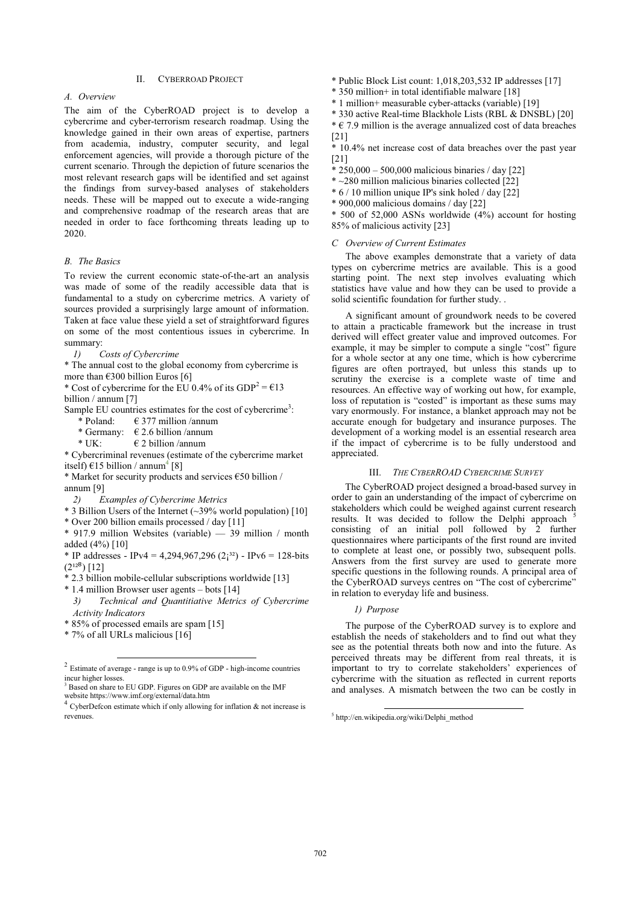# II. CYBERROAD PROJECT

## *A. Overview*

The aim of the CyberROAD project is to develop a cybercrime and cyber-terrorism research roadmap. Using the knowledge gained in their own areas of expertise, partners from academia, industry, computer security, and legal enforcement agencies, will provide a thorough picture of the current scenario. Through the depiction of future scenarios the most relevant research gaps will be identified and set against the findings from survey-based analyses of stakeholders needs. These will be mapped out to execute a wide-ranging and comprehensive roadmap of the research areas that are needed in order to face forthcoming threats leading up to 2020.

## *B. The Basics*

To review the current economic state-of-the-art an analysis was made of some of the readily accessible data that is fundamental to a study on cybercrime metrics. A variety of sources provided a surprisingly large amount of information. Taken at face value these yield a set of straightforward figures on some of the most contentious issues in cybercrime. In summary:

*1) Costs of Cybercrime* 

\* The annual cost to the global economy from cybercrime is more than  $\epsilon$ 300 billion Euros [6]

\* Cost of cybercrime for the EU 0.4% of its  $GDP^2 = 613$ billion / annum [7]

Sample EU countries estimates for the cost of cybercrime<sup>3</sup>:

- \* Poland:  $\epsilon$  377 million /annum<br>\* Germany:  $\epsilon$  2.6 billion /annum
- \* Germany:  $\epsilon$  2.6 billion /annum<br>\* UK:  $\epsilon$  2 billion /annum
- $\epsilon$  2 billion /annum

\* Cybercriminal revenues (estimate of the cybercrime market itself)  $\epsilon$ 15 billion / annum<sup>4</sup> [8]

\* Market for security products and services  $\epsilon$ 50 billion / annum [9]

- *2) Examples of Cybercrime Metrics*
- \* 3 Billion Users of the Internet (~39% world population) [10]
- \* Over 200 billion emails processed / day [11]
- \* 917.9 million Websites (variable) 39 million / month added (4%) [10]

\* IP addresses - IPv4 = 4,294,967,296 (2;<sup>32</sup>) - IPv6 = 128-bits  $(2^{128})$  [12]

- \* 2.3 billion mobile-cellular subscriptions worldwide [13]
- \* 1.4 million Browser user agents bots [14]
- *3) Technical and Quantitiative Metrics of Cybercrime Activity Indicators*
- \* 85% of processed emails are spam [15]
- \* 7% of all URLs malicious [16]
- \* Public Block List count: 1,018,203,532 IP addresses [17]
- \* 350 million+ in total identifiable malware [18]
- \* 1 million+ measurable cyber-attacks (variable) [19]
- \* 330 active Real-time Blackhole Lists (RBL & DNSBL) [20]

 $* \in 7.9$  million is the average annualized cost of data breaches [21]

\* 10.4% net increase cost of data breaches over the past year [21]

- $*$  250,000 500,000 malicious binaries / day [22]
- \* ~280 million malicious binaries collected [22]
- \* 6 / 10 million unique IP's sink holed / day [22]
- \* 900,000 malicious domains / day [22]

\* 500 of 52,000 ASNs worldwide (4%) account for hosting 85% of malicious activity [23]

#### *C Overview of Current Estimates*

The above examples demonstrate that a variety of data types on cybercrime metrics are available. This is a good starting point. The next step involves evaluating which statistics have value and how they can be used to provide a solid scientific foundation for further study. .

A significant amount of groundwork needs to be covered to attain a practicable framework but the increase in trust derived will effect greater value and improved outcomes. For example, it may be simpler to compute a single "cost" figure for a whole sector at any one time, which is how cybercrime figures are often portrayed, but unless this stands up to scrutiny the exercise is a complete waste of time and resources. An effective way of working out how, for example, loss of reputation is "costed" is important as these sums may vary enormously. For instance, a blanket approach may not be accurate enough for budgetary and insurance purposes. The development of a working model is an essential research area if the impact of cybercrime is to be fully understood and appreciated.

#### III. *THE CYBERROAD CYBERCRIME SURVEY*

The CyberROAD project designed a broad-based survey in order to gain an understanding of the impact of cybercrime on stakeholders which could be weighed against current research results. It was decided to follow the Delphi approach consisting of an initial poll followed by 2 further questionnaires where participants of the first round are invited to complete at least one, or possibly two, subsequent polls. Answers from the first survey are used to generate more specific questions in the following rounds. A principal area of the CyberROAD surveys centres on "The cost of cybercrime" in relation to everyday life and business.

# *1) Purpose*

The purpose of the CyberROAD survey is to explore and establish the needs of stakeholders and to find out what they see as the potential threats both now and into the future. As perceived threats may be different from real threats, it is important to try to correlate stakeholders' experiences of cybercrime with the situation as reflected in current reports and analyses. A mismatch between the two can be costly in

 <sup>2</sup> Estimate of average - range is up to 0.9% of GDP - high-income countries incur higher losses

<sup>&</sup>lt;sup>3</sup> Based on share to EU GDP. Figures on GDP are available on the IMF website https://www.imf.org/external/data.htm<br><sup>4</sup> CyberDefcon estimate which if only allowing for inflation & not increase is

revenues.

 <sup>5</sup> http://en.wikipedia.org/wiki/Delphi\_method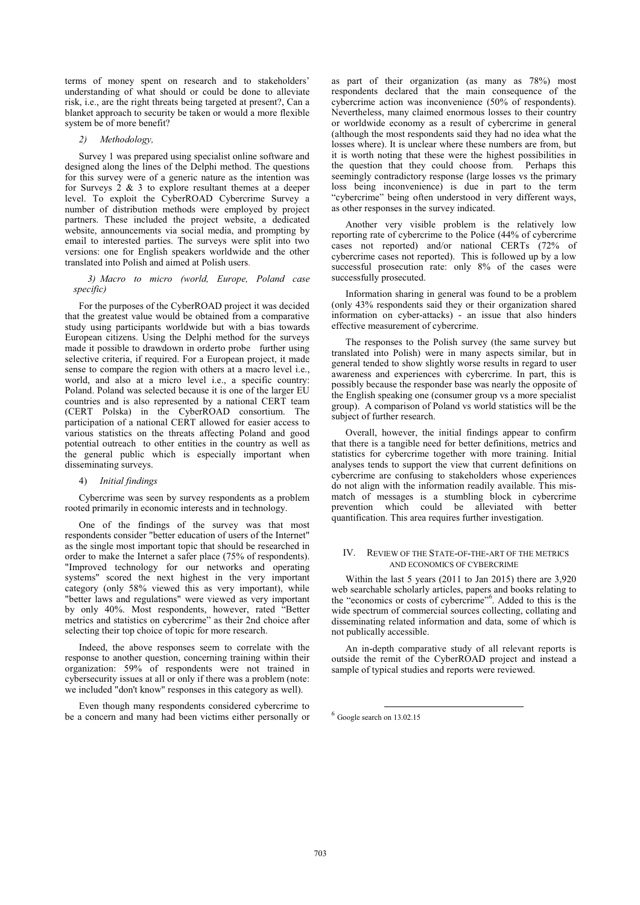terms of money spent on research and to stakeholders' understanding of what should or could be done to alleviate risk, i.e., are the right threats being targeted at present?, Can a blanket approach to security be taken or would a more flexible system be of more benefit?

# *2) Methodology,*

Survey 1 was prepared using specialist online software and designed along the lines of the Delphi method. The questions for this survey were of a generic nature as the intention was for Surveys  $2 \& 3$  to explore resultant themes at a deeper level. To exploit the CyberROAD Cybercrime Survey a number of distribution methods were employed by project partners. These included the project website, a dedicated website, announcements via social media, and prompting by email to interested parties. The surveys were split into two versions: one for English speakers worldwide and the other translated into Polish and aimed at Polish users.

## *3) Macro to micro (world, Europe, Poland case specific)*

For the purposes of the CyberROAD project it was decided that the greatest value would be obtained from a comparative study using participants worldwide but with a bias towards European citizens. Using the Delphi method for the surveys made it possible to drawdown in orderto probe further using selective criteria, if required. For a European project, it made sense to compare the region with others at a macro level i.e., world, and also at a micro level i.e., a specific country: Poland. Poland was selected because it is one of the larger EU countries and is also represented by a national CERT team (CERT Polska) in the CyberROAD consortium. The participation of a national CERT allowed for easier access to various statistics on the threats affecting Poland and good potential outreach to other entities in the country as well as the general public which is especially important when disseminating surveys.

### 4) *Initial findings*

Cybercrime was seen by survey respondents as a problem rooted primarily in economic interests and in technology.

One of the findings of the survey was that most respondents consider "better education of users of the Internet" as the single most important topic that should be researched in order to make the Internet a safer place (75% of respondents). "Improved technology for our networks and operating systems" scored the next highest in the very important category (only 58% viewed this as very important), while "better laws and regulations" were viewed as very important by only 40%. Most respondents, however, rated "Better metrics and statistics on cybercrime" as their 2nd choice after selecting their top choice of topic for more research.

Indeed, the above responses seem to correlate with the response to another question, concerning training within their organization: 59% of respondents were not trained in cybersecurity issues at all or only if there was a problem (note: we included "don't know" responses in this category as well).

Even though many respondents considered cybercrime to be a concern and many had been victims either personally or as part of their organization (as many as 78%) most respondents declared that the main consequence of the cybercrime action was inconvenience (50% of respondents). Nevertheless, many claimed enormous losses to their country or worldwide economy as a result of cybercrime in general (although the most respondents said they had no idea what the losses where). It is unclear where these numbers are from, but it is worth noting that these were the highest possibilities in the question that they could choose from. Perhaps this seemingly contradictory response (large losses vs the primary loss being inconvenience) is due in part to the term "cybercrime" being often understood in very different ways, as other responses in the survey indicated.

Another very visible problem is the relatively low reporting rate of cybercrime to the Police (44% of cybercrime cases not reported) and/or national CERTs (72% of cybercrime cases not reported). This is followed up by a low successful prosecution rate: only 8% of the cases were successfully prosecuted.

Information sharing in general was found to be a problem (only 43% respondents said they or their organization shared information on cyber-attacks) - an issue that also hinders effective measurement of cybercrime.

The responses to the Polish survey (the same survey but translated into Polish) were in many aspects similar, but in general tended to show slightly worse results in regard to user awareness and experiences with cybercrime. In part, this is possibly because the responder base was nearly the opposite of the English speaking one (consumer group vs a more specialist group). A comparison of Poland vs world statistics will be the subject of further research.

Overall, however, the initial findings appear to confirm that there is a tangible need for better definitions, metrics and statistics for cybercrime together with more training. Initial analyses tends to support the view that current definitions on cybercrime are confusing to stakeholders whose experiences do not align with the information readily available. This mismatch of messages is a stumbling block in cybercrime prevention which could be alleviated with better quantification. This area requires further investigation.

## IV. REVIEW OF THE STATE-OF-THE-ART OF THE METRICS AND ECONOMICS OF CYBERCRIME

Within the last 5 years (2011 to Jan 2015) there are 3,920 web searchable scholarly articles, papers and books relating to the "economics or costs of cybercrime"<sup>6</sup> . Added to this is the wide spectrum of commercial sources collecting, collating and disseminating related information and data, some of which is not publically accessible.

An in-depth comparative study of all relevant reports is outside the remit of the CyberROAD project and instead a sample of typical studies and reports were reviewed.

 $<sup>6</sup>$  Google search on 13.02.15</sup>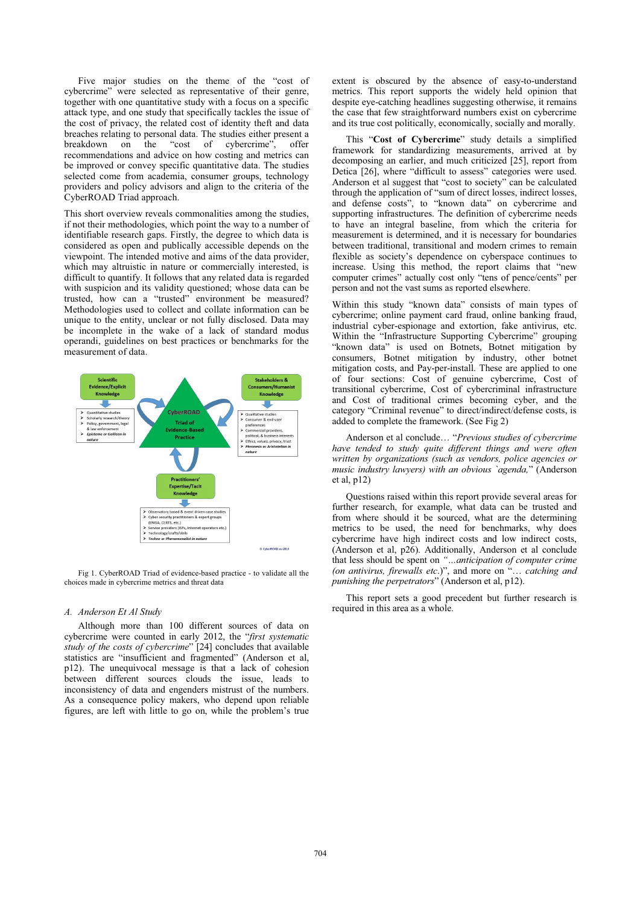Five major studies on the theme of the "cost of cybercrime" were selected as representative of their genre, together with one quantitative study with a focus on a specific attack type, and one study that specifically tackles the issue of the cost of privacy, the related cost of identity theft and data breaches relating to personal data. The studies either present a breakdown on the "cost of cybercrime", offer recommendations and advice on how costing and metrics can be improved or convey specific quantitative data. The studies selected come from academia, consumer groups, technology providers and policy advisors and align to the criteria of the CyberROAD Triad approach.

This short overview reveals commonalities among the studies, if not their methodologies, which point the way to a number of identifiable research gaps. Firstly, the degree to which data is considered as open and publically accessible depends on the viewpoint. The intended motive and aims of the data provider, which may altruistic in nature or commercially interested, is difficult to quantify. It follows that any related data is regarded with suspicion and its validity questioned; whose data can be trusted, how can a "trusted" environment be measured? Methodologies used to collect and collate information can be unique to the entity, unclear or not fully disclosed. Data may be incomplete in the wake of a lack of standard modus operandi, guidelines on best practices or benchmarks for the measurement of data.



Fig 1. CyberROAD Triad of evidence-based practice - to validate all the choices made in cybercrime metrics and threat data

#### *A. Anderson Et Al Study*

Although more than 100 different sources of data on cybercrime were counted in early 2012, the "*first systematic study of the costs of cybercrime*" [24] concludes that available statistics are "insufficient and fragmented" (Anderson et al, p12). The unequivocal message is that a lack of cohesion between different sources clouds the issue, leads to inconsistency of data and engenders mistrust of the numbers. As a consequence policy makers, who depend upon reliable figures, are left with little to go on, while the problem's true

extent is obscured by the absence of easy-to-understand metrics. This report supports the widely held opinion that despite eye-catching headlines suggesting otherwise, it remains the case that few straightforward numbers exist on cybercrime and its true cost politically, economically, socially and morally.

This "**Cost of Cybercrime**" study details a simplified framework for standardizing measurements, arrived at by decomposing an earlier, and much criticized [25], report from Detica [26], where "difficult to assess" categories were used. Anderson et al suggest that "cost to society" can be calculated through the application of "sum of direct losses, indirect losses, and defense costs", to "known data" on cybercrime and supporting infrastructures. The definition of cybercrime needs to have an integral baseline, from which the criteria for measurement is determined, and it is necessary for boundaries between traditional, transitional and modern crimes to remain flexible as society's dependence on cyberspace continues to increase. Using this method, the report claims that "new computer crimes" actually cost only "tens of pence/cents" per person and not the vast sums as reported elsewhere.

Within this study "known data" consists of main types of cybercrime; online payment card fraud, online banking fraud, industrial cyber-espionage and extortion, fake antivirus, etc. Within the "Infrastructure Supporting Cybercrime" grouping "known data" is used on Botnets, Botnet mitigation by consumers, Botnet mitigation by industry, other botnet mitigation costs, and Pay-per-install. These are applied to one of four sections: Cost of genuine cybercrime, Cost of transitional cybercrime, Cost of cybercriminal infrastructure and Cost of traditional crimes becoming cyber, and the category "Criminal revenue" to direct/indirect/defense costs, is added to complete the framework. (See Fig 2)

Anderson et al conclude… "*Previous studies of cybercrime have tended to study quite different things and were often written by organizations (such as vendors, police agencies or music industry lawyers) with an obvious `agenda,*" (Anderson et al, p12)

Questions raised within this report provide several areas for further research, for example, what data can be trusted and from where should it be sourced, what are the determining metrics to be used, the need for benchmarks, why does cybercrime have high indirect costs and low indirect costs, (Anderson et al, p26). Additionally, Anderson et al conclude that less should be spent on *"…anticipation of computer crime (on antivirus, firewalls etc*.)", and more on "… *catching and punishing the perpetrators*" (Anderson et al, p12).

This report sets a good precedent but further research is required in this area as a whole.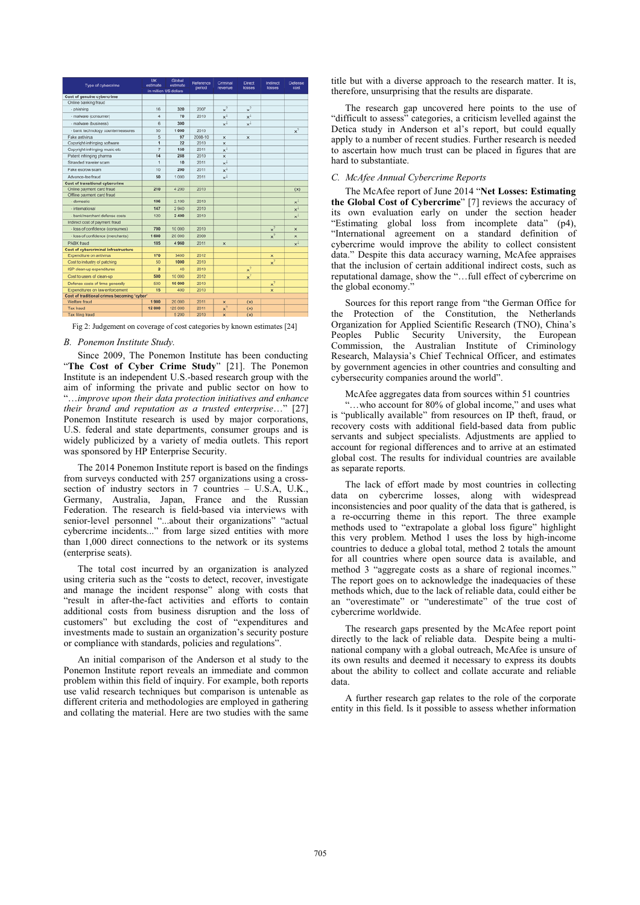| Type of cybercrime                          | uĸ<br>estimate | Global<br>estimate<br>in million US dollars | Reference<br>period | Criminal<br>revenue | <b>Direct</b><br><b>ICSSAS</b> | Indirect<br><b>Insure</b> | Defense<br>cost       |
|---------------------------------------------|----------------|---------------------------------------------|---------------------|---------------------|--------------------------------|---------------------------|-----------------------|
| Cost of genuine cybercrime                  |                |                                             |                     |                     |                                |                           |                       |
| Online banking fraud                        |                |                                             |                     |                     |                                |                           |                       |
| - phishing                                  | 16             | 320                                         | 2007                | $x^2$               | $x^2$                          |                           |                       |
|                                             | $\overline{4}$ | 70                                          | 2010                |                     |                                |                           |                       |
| - malware (consumer)                        |                |                                             |                     | $x^{\downarrow}$    | $x^{\perp}$                    |                           |                       |
| - malware (business)                        | 6              | 300                                         |                     | $x^{\frac{1}{2}}$   | $x^{\downarrow}$               |                           |                       |
| - bank technology countermeasures           | 50             | 1 000                                       | 2010                |                     |                                |                           | $x^2$                 |
| Fake antivirus                              | 5              | 97                                          | 2008-10             | ×                   | $\times$                       |                           |                       |
| Copyright-infringing software               | 1              | 22                                          | 2010                | $\times$            |                                |                           |                       |
| Copyright-infringing music etc.             | $\overline{7}$ | 150                                         | 2011                | $x^{\perp}$         |                                |                           |                       |
| Patent infringing pharma                    | 14             | 288                                         | 2010                | ×                   |                                |                           |                       |
| Stranded traveler scam                      | $\mathbf{1}$   | 10                                          | 2011                | x <sup>i</sup>      |                                |                           |                       |
| Fake escrow scam                            | 10             | 200                                         | 2011                | $x^{\downarrow}$    |                                |                           |                       |
| Advance-fee fraud                           | 50             | 1 0 0 0                                     | 2011                | $x^{\frac{1}{2}}$   |                                |                           |                       |
| Cost of transitional cybercrime             |                |                                             |                     |                     |                                |                           |                       |
| Online payment card fraud                   | 210            | 4 200                                       | 2010                |                     |                                |                           | (x)                   |
| Offline payment card fraud                  |                |                                             |                     |                     |                                |                           |                       |
| - domestic                                  | 106            | 2.100                                       | 2010                |                     |                                |                           | $x^{\downarrow}$      |
| - international                             | 147            | 2940                                        | 2010                |                     |                                |                           | $x^{\downarrow}$      |
| - bank/merchant defense costs               | 120            | 2 400                                       | 2010                |                     |                                |                           | $x^{\downarrow}$      |
| Indirect cost of payment fraud              |                |                                             |                     |                     |                                |                           |                       |
| - loss of confidence (consumes)             | 700            | 10 000                                      | 2010                |                     |                                | $x^7$                     | $\mathbf x$           |
| - loss of confidence (merchants)            | 1 600          | 20 000                                      | 2009                |                     |                                | $x^2$                     | $\boldsymbol{\times}$ |
| PABX fraud                                  | 185            | 4960                                        | 2011                | $\times$            |                                |                           | $x^{\downarrow}$      |
| <b>Cost of cybercriminal infrastructure</b> |                |                                             |                     |                     |                                |                           |                       |
| Expenditure on antivirus                    | 170            | 3400                                        | 2012                |                     |                                | ×                         |                       |
| Cost to industry of patching                | 50             | 1000                                        | 2010                |                     |                                | $x^2$                     |                       |
| ISP clean-up expenditures                   | $\overline{2}$ | 40                                          | 2010                |                     | $\times^7$                     |                           |                       |
| Cost to users of clean-up                   | 500            | 10 000                                      | 2012                |                     | $x^2$                          |                           |                       |
| Defense costs of firms generally            | 500            | 10 000                                      | 2010                |                     |                                | $x^2$                     |                       |
| Expenditures on law enforcement             | 15             | 400                                         | 2010                |                     |                                | $\mathbf{x}$              |                       |
| Cost of traditional crimes becoming 'cyber' |                |                                             |                     |                     |                                |                           |                       |
| Welfare fraud                               | 1900           | 20 000                                      | 2011                | ×                   | (x)                            |                           |                       |
| Tax fraud                                   | 12 000         | 125 000                                     | 2011                | $x^2$               | (x)                            |                           |                       |
| Tax filing fraud                            |                | 5 200                                       | 2010                | ×                   | (x)                            |                           |                       |

Fig 2: Judgement on coverage of cost categories by known estimates [24]

## *B. Ponemon Institute Study.*

Since 2009, The Ponemon Institute has been conducting "The Cost of Cyber Crime Study" [21]. The Ponemon Institute is an independent U.S.-based research group with the aim of informing the private and public sector on how to "…*improve upon their data protection initiatives and enhance their brand and reputation as a trusted enterprise*…" [27] Ponemon Institute research is used by major corporations. U.S. federal and state departments, consumer groups and is widely publicized by a variety of media outlets. This report was sponsored by HP Enterprise Security.

The 2014 Ponemon Institute report is based on the findings from surveys conducted with 257 organizations using a crosssection of industry sectors in 7 countries – U.S.A, U.K., Germany, Australia, Japan, France and the Russian Federation. The research is field-based via interviews with senior-level personnel "...about their organizations" "actual cybercrime incidents..." from large sized entities with more than 1,000 direct connections to the network or its systems (enterprise seats).

The total cost incurred by an organization is analyzed using criteria such as the "costs to detect, recover, investigate and manage the incident response" along with costs that "result in after-the-fact activities and efforts to contain additional costs from business disruption and the loss of customers" but excluding the cost of "expenditures and investments made to sustain an organization's security posture or compliance with standards, policies and regulations".

An initial comparison of the Anderson et al study to the Ponemon Institute report reveals an immediate and common problem within this field of inquiry. For example, both reports use valid research techniques but comparison is untenable as different criteria and methodologies are employed in gathering and collating the material. Here are two studies with the same

title but with a diverse approach to the research matter. It is, therefore, unsurprising that the results are disparate.

The research gap uncovered here points to the use of "difficult to assess" categories, a criticism levelled against the Detica study in Anderson et al's report, but could equally apply to a number of recent studies. Further research is needed to ascertain how much trust can be placed in figures that are hard to substantiate.

## *C. McAfee Annual Cybercrime Reports*

The McAfee report of June 2014 "**Net Losses: Estimating the Global Cost of Cybercrime**" [7] reviews the accuracy of its own evaluation early on under the section header "Estimating global loss from incomplete data" (p4), "International agreement on a standard definition of cybercrime would improve the ability to collect consistent data." Despite this data accuracy warning, McAfee appraises that the inclusion of certain additional indirect costs, such as reputational damage, show the "…full effect of cybercrime on the global economy."

Sources for this report range from "the German Office for the Protection of the Constitution, the Netherlands Organization for Applied Scientific Research (TNO), China's Peoples Public Security University, the European Commission, the Australian Institute of Criminology Research, Malaysia's Chief Technical Officer, and estimates by government agencies in other countries and consulting and cybersecurity companies around the world".

McAfee aggregates data from sources within 51 countries "…who account for 80% of global income," and uses what is "publically available" from resources on IP theft, fraud, or recovery costs with additional field-based data from public servants and subject specialists. Adjustments are applied to account for regional differences and to arrive at an estimated global cost. The results for individual countries are available as separate reports.

The lack of effort made by most countries in collecting data on cybercrime losses, along with widespread inconsistencies and poor quality of the data that is gathered, is a re-occurring theme in this report. The three example methods used to "extrapolate a global loss figure" highlight this very problem. Method 1 uses the loss by high-income countries to deduce a global total, method 2 totals the amount for all countries where open source data is available, and method 3 "aggregate costs as a share of regional incomes." The report goes on to acknowledge the inadequacies of these methods which, due to the lack of reliable data, could either be an "overestimate" or "underestimate" of the true cost of cybercrime worldwide.

The research gaps presented by the McAfee report point directly to the lack of reliable data. Despite being a multinational company with a global outreach, McAfee is unsure of its own results and deemed it necessary to express its doubts about the ability to collect and collate accurate and reliable data.

A further research gap relates to the role of the corporate entity in this field. Is it possible to assess whether information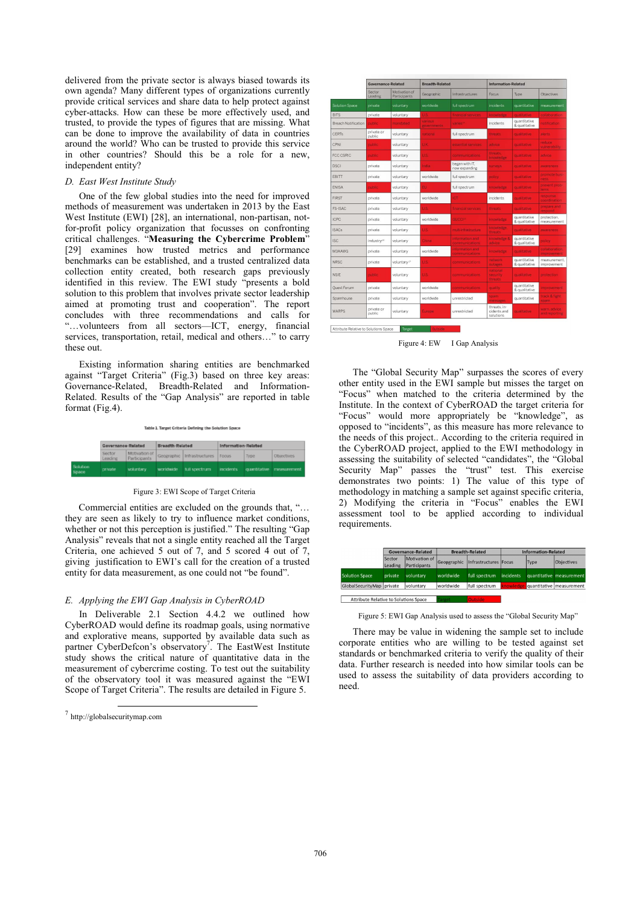delivered from the private sector is always b biased towards its own agenda? Many different types of organizations currently provide critical services and share data to help protect against cyber-attacks. How can these be more effectively used, and trusted, to provide the types of figures that a are missing. What can be done to improve the availability of f data in countries around the world? Who can be trusted to provide this service in other countries? Should this be a role for a new, independent entity?

# *D. East West Institute Study*

One of the few global studies into the need for improved methods of measurement was undertaken in 2013 by the East West Institute (EWI) [28], an international, non-partisan, notfor-profit policy organization that focusses on confronting critical challenges. "**Measuring the Cyber rcrime Problem**" [29] examines how trusted metrics and performance benchmarks can be established, and a trusted centralized data collection entity created, both research gaps previously identified in this review. The EWI study "presents a bold solution to this problem that involves private sector leadership aimed at promoting trust and cooperation". The report concludes with three recommendations and calls for "…volunteers from all sectors—ICT, energy, financial services, transportation, retail, medical and others…" to carry these out.

Existing information sharing entities are benchmarked against "Target Criteria" (Fig.3) based on n three key areas: Governance-Related, Breadth-Related and Information-Related. Results of the "Gap Analysis" are e reported in table format (Fig.4).



Figure 3: EWI Scope of Target Criteria

Commercial entities are excluded on the grounds that, "… they are seen as likely to try to influence market conditions, whether or not this perception is justified." The resulting "Gap Analysis" reveals that not a single entity reached all the Target Criteria, one achieved 5 out of 7, and 5 s scored 4 out of 7, giving justification to EWI's call for the cr eation of a trusted entity for data measurement, as one could not "be found".

#### E. Applying the EWI Gap Analysis in CyberROAD

In Deliverable 2.1 Section 4.4.2 we outlined how CyberROAD would define its roadmap goal s, using normative and explorative means, supported by avail partner CyberDefcon's observatory<sup>7</sup>. The E study shows the critical nature of quantitative data in the measurement of cybercrime costing. To test out the suitability of the observatory tool it was measured a against the "EWI Scope of Target Criteria". The results are detailed in Figure 5. able data such as EastWest Institute

j

|                            | <b>Governance-Related</b> |                               | <b>Breadth-Related</b> |                                   | <b>Information-Related</b>               |                               |                               |  |
|----------------------------|---------------------------|-------------------------------|------------------------|-----------------------------------|------------------------------------------|-------------------------------|-------------------------------|--|
|                            | Sector<br>Leading         | Motivation of<br>Participants | Geographic             | Infrastructures                   | Focus                                    | Type                          | <b>Objectives</b>             |  |
| <b>Solution Space</b>      | private                   | voluntary                     | worldwide              | full spectrum                     | <i>incidents</i>                         | quantitative                  | measurement                   |  |
| <b>BITS</b>                | private                   | voluntary                     | J.S                    | financial services                | knowledge.                               | qualitative                   | collaboration                 |  |
| <b>Breach Notification</b> | public                    | mandated                      | various<br>governments | varies <sup>24</sup>              | <i>incidents</i>                         | quantitative<br>& qualitative | totification                  |  |
| <b>CERTs</b>               | private or<br>public      | voluntary                     | national               | full spectrum                     | <b>timeats</b>                           | qualitative                   | alerts                        |  |
| CPNI                       | public                    | voluntary                     | UK                     | essential services                | advice                                   | qualitative                   | reduce<br>vulnerability       |  |
| <b>FCC CSRIC</b>           | public                    | voluntary                     | US.                    | communications                    | <b>threats</b><br>knowledge              | qualitative                   | artvice                       |  |
| <b>DSCI</b>                | private                   | voluntary                     | India                  | began with IT.<br>now expanding   | surveys                                  | qualitative                   | awareness                     |  |
| EBITT                      | private                   | voluntary                     | worldwide              | full spectrum                     | policy                                   | qualitative                   | promote busi-<br>ness         |  |
| <b>ENISA</b>               | public                    | voluntary                     | EU                     | full spectrum                     | knowledge                                | qualitative                   | prevent prob-<br>lems         |  |
| <b>FIRST</b>               | private                   | voluntary                     | worldwide              | <b>ICT</b>                        | incidents                                | aualitative                   | response<br>coordination      |  |
| <b>FS-ISAC</b>             | private                   | voluntary                     | U.S.                   | financial services                | <b>threats</b>                           | qualitative                   | prepare and<br>respond        |  |
| <b>ICPC</b>                | private                   | voluntary                     | worldwide              | <b>GUCCP</b>                      | knowledge                                | quantitative<br>& qualitative | protection.<br>measurement    |  |
| <b>ISACs</b>               | private                   | voluntary                     | <b>US</b>              | multi-infrastructure.             | knowledge.<br><b>threats</b>             | qualitative                   | awareness                     |  |
| <b>ISC</b>                 | industry <sup>25</sup>    | voluntary                     | China                  | information and<br>communications | knowledge &<br>advice                    | quantitative<br>& qualitative | nolicy                        |  |
| M3AAWG                     | private                   | voluntary                     | worldwide              | information and<br>communications | knowledge                                | qualitative                   | collaboration.<br>improvement |  |
| <b>NRSC</b>                | private                   | voluntary <sup>27</sup>       | US.                    | communications                    | network<br>outages                       | quantitative<br>& qualitative | measurement.<br>improvement   |  |
| <b>NSIE</b>                | public                    | voluntary                     | US.                    | communications.                   | national<br>security<br>threats          | qualitative                   | <i>protection</i>             |  |
| Ouest Forum                | private                   | voluntary                     | worldwide              | communications                    | quality                                  | quantitative<br>& qualitative | morovement                    |  |
| Spamhouse                  | private                   | voluntary                     | worldwide              | unrestricted                      | spam<br>messages                         | quantitative                  | track & fight<br>spann        |  |
| <b>WARPS</b>               | private or<br>public      | voluntary                     | Europe                 | unrestricted                      | threats, in-<br>cidents and<br>solutions | qualitative                   | warn, advice<br>and reporting |  |

Figure 4: EW I Gap Analysis

The "Global Security Map " surpasses the scores of every other entity used in the EWI sample but misses the target on "Focus" when matched to th he criteria determined by the Institute. In the context of CyberROAD the target criteria for "Focus" would more appropriately be "knowledge", as opposed to "incidents", as this measure has more relevance to the needs of this project.. According to the criteria required in the CyberROAD project, applied to the EWI methodology in assessing the suitability of sele ected "candidates", the "Global Security Map" passes the demonstrates two points: 1) methodology in matching a sample set against specific criteria, 2) Modifying the criteria i n "Focus" enables the EWI assessment tool to be applied according to individual requirements. "trust" test. This exercise ) The value of this type of

|                                       | <b>Governance-Related</b> |                               |             | <b>Breadth-Related</b> | <b>Information-Related</b> |      |                          |  |
|---------------------------------------|---------------------------|-------------------------------|-------------|------------------------|----------------------------|------|--------------------------|--|
|                                       | Sector<br>Leading         | Motivation of<br>Participants | Georgraphic | Infrastructures Focus  |                            | Type | Objectives               |  |
| <b>Solution Space</b>                 | private                   | voluntary                     | worldwide   | full spectrum          | <i>incidents</i>           |      | quantitative measurement |  |
| GlobalSecurityMap private             |                           | <i>voluntary</i>              | worldwide   | full spectrum          |                            |      | quantitative measurement |  |
|                                       |                           |                               |             |                        |                            |      |                          |  |
| Attribute Relative to Solutions Space |                           |                               | arget       | Outside                |                            |      |                          |  |

Figure 5: EWI Gap Analysis used to assess the "Global Security Map"

There may be value in widening the sample set to include corporate entities who are willing to be tested against set standards or benchmarked criteria to verify the quality of their data. Further research is needed into how similar tools can be used to assess the suitability of data providers according to need.

 <sup>7</sup> http://globalsecuritymap.com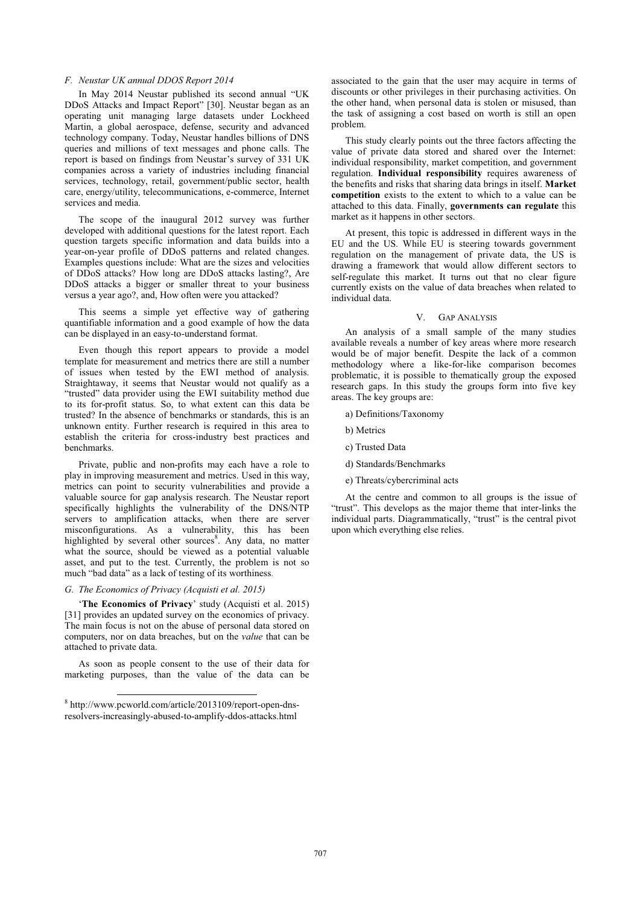# *F. Neustar UK annual DDOS Report 2014*

In May 2014 Neustar published its second annual "UK DDoS Attacks and Impact Report" [30]. Neustar began as an operating unit managing large datasets under Lockheed Martin, a global aerospace, defense, security and advanced technology company. Today, Neustar handles billions of DNS queries and millions of text messages and phone calls. The report is based on findings from Neustar's survey of 331 UK companies across a variety of industries including financial services, technology, retail, government/public sector, health care, energy/utility, telecommunications, e-commerce, Internet services and media.

The scope of the inaugural 2012 survey was further developed with additional questions for the latest report. Each question targets specific information and data builds into a year-on-year profile of DDoS patterns and related changes. Examples questions include: What are the sizes and velocities of DDoS attacks? How long are DDoS attacks lasting?, Are DDoS attacks a bigger or smaller threat to your business versus a year ago?, and, How often were you attacked?

This seems a simple yet effective way of gathering quantifiable information and a good example of how the data can be displayed in an easy-to-understand format.

Even though this report appears to provide a model template for measurement and metrics there are still a number of issues when tested by the EWI method of analysis. Straightaway, it seems that Neustar would not qualify as a "trusted" data provider using the EWI suitability method due to its for-profit status. So, to what extent can this data be trusted? In the absence of benchmarks or standards, this is an unknown entity. Further research is required in this area to establish the criteria for cross-industry best practices and benchmarks.

Private, public and non-profits may each have a role to play in improving measurement and metrics. Used in this way, metrics can point to security vulnerabilities and provide a valuable source for gap analysis research. The Neustar report specifically highlights the vulnerability of the DNS/NTP servers to amplification attacks, when there are server misconfigurations. As a vulnerability, this has been highlighted by several other sources<sup>8</sup>. Any data, no matter what the source, should be viewed as a potential valuable asset, and put to the test. Currently, the problem is not so much "bad data" as a lack of testing of its worthiness.

#### *G. The Economics of Privacy (Acquisti et al. 2015)*

'**The Economics of Privacy**' study (Acquisti et al. 2015) [31] provides an updated survey on the economics of privacy. The main focus is not on the abuse of personal data stored on computers, nor on data breaches, but on the *value* that can be attached to private data.

As soon as people consent to the use of their data for marketing purposes, than the value of the data can be associated to the gain that the user may acquire in terms of discounts or other privileges in their purchasing activities. On the other hand, when personal data is stolen or misused, than the task of assigning a cost based on worth is still an open problem.

This study clearly points out the three factors affecting the value of private data stored and shared over the Internet: individual responsibility, market competition, and government regulation. **Individual responsibility** requires awareness of the benefits and risks that sharing data brings in itself. **Market competition** exists to the extent to which to a value can be attached to this data. Finally, **governments can regulate** this market as it happens in other sectors.

At present, this topic is addressed in different ways in the EU and the US. While EU is steering towards government regulation on the management of private data, the US is drawing a framework that would allow different sectors to self-regulate this market. It turns out that no clear figure currently exists on the value of data breaches when related to individual data.

## V. GAP ANALYSIS

An analysis of a small sample of the many studies available reveals a number of key areas where more research would be of major benefit. Despite the lack of a common methodology where a like-for-like comparison becomes problematic, it is possible to thematically group the exposed research gaps. In this study the groups form into five key areas. The key groups are:

- a) Definitions/Taxonomy
- b) Metrics
- c) Trusted Data
- d) Standards/Benchmarks
- e) Threats/cybercriminal acts

At the centre and common to all groups is the issue of "trust". This develops as the major theme that inter-links the individual parts. Diagrammatically, "trust" is the central pivot upon which everything else relies.

 <sup>8</sup> http://www.pcworld.com/article/2013109/report-open-dnsresolvers-increasingly-abused-to-amplify-ddos-attacks.html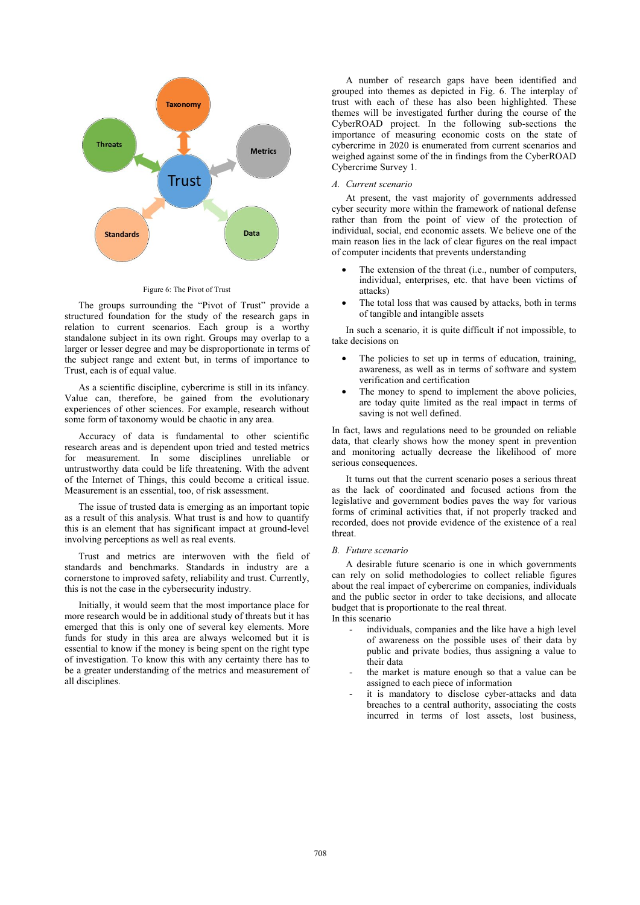

#### Figure 6: The Pivot of Trust

The groups surrounding the "Pivot of Trust" provide a structured foundation for the study of the research gaps in relation to current scenarios. Each group is a worthy standalone subject in its own right. Groups may overlap to a larger or lesser degree and may be disproportionate in terms of the subject range and extent but, in terms of importance to Trust, each is of equal value.

As a scientific discipline, cybercrime is still in its infancy. Value can, therefore, be gained from the evolutionary experiences of other sciences. For example, research without some form of taxonomy would be chaotic in any area.

Accuracy of data is fundamental to other scientific research areas and is dependent upon tried and tested metrics for measurement. In some disciplines unreliable or untrustworthy data could be life threatening. With the advent of the Internet of Things, this could become a critical issue. Measurement is an essential, too, of risk assessment.

The issue of trusted data is emerging as an important topic as a result of this analysis. What trust is and how to quantify this is an element that has significant impact at ground-level involving perceptions as well as real events.

Trust and metrics are interwoven with the field of standards and benchmarks. Standards in industry are a cornerstone to improved safety, reliability and trust. Currently, this is not the case in the cybersecurity industry.

Initially, it would seem that the most importance place for more research would be in additional study of threats but it has emerged that this is only one of several key elements. More funds for study in this area are always welcomed but it is essential to know if the money is being spent on the right type of investigation. To know this with any certainty there has to be a greater understanding of the metrics and measurement of all disciplines.

A number of research gaps have been identified and grouped into themes as depicted in Fig. 6. The interplay of trust with each of these has also been highlighted. These themes will be investigated further during the course of the CyberROAD project. In the following sub-sections the importance of measuring economic costs on the state of cybercrime in 2020 is enumerated from current scenarios and weighed against some of the in findings from the CyberROAD Cybercrime Survey 1.

#### *A. Current scenario*

At present, the vast majority of governments addressed cyber security more within the framework of national defense rather than from the point of view of the protection of individual, social, end economic assets. We believe one of the main reason lies in the lack of clear figures on the real impact of computer incidents that prevents understanding

- The extension of the threat (i.e., number of computers, individual, enterprises, etc. that have been victims of attacks)
- The total loss that was caused by attacks, both in terms of tangible and intangible assets

In such a scenario, it is quite difficult if not impossible, to take decisions on

- The policies to set up in terms of education, training, awareness, as well as in terms of software and system verification and certification
- The money to spend to implement the above policies, are today quite limited as the real impact in terms of saving is not well defined.

In fact, laws and regulations need to be grounded on reliable data, that clearly shows how the money spent in prevention and monitoring actually decrease the likelihood of more serious consequences.

It turns out that the current scenario poses a serious threat as the lack of coordinated and focused actions from the legislative and government bodies paves the way for various forms of criminal activities that, if not properly tracked and recorded, does not provide evidence of the existence of a real threat.

# *B. Future scenario*

A desirable future scenario is one in which governments can rely on solid methodologies to collect reliable figures about the real impact of cybercrime on companies, individuals and the public sector in order to take decisions, and allocate budget that is proportionate to the real threat. In this scenario

- individuals, companies and the like have a high level of awareness on the possible uses of their data by public and private bodies, thus assigning a value to their data
- the market is mature enough so that a value can be assigned to each piece of information
- it is mandatory to disclose cyber-attacks and data breaches to a central authority, associating the costs incurred in terms of lost assets, lost business,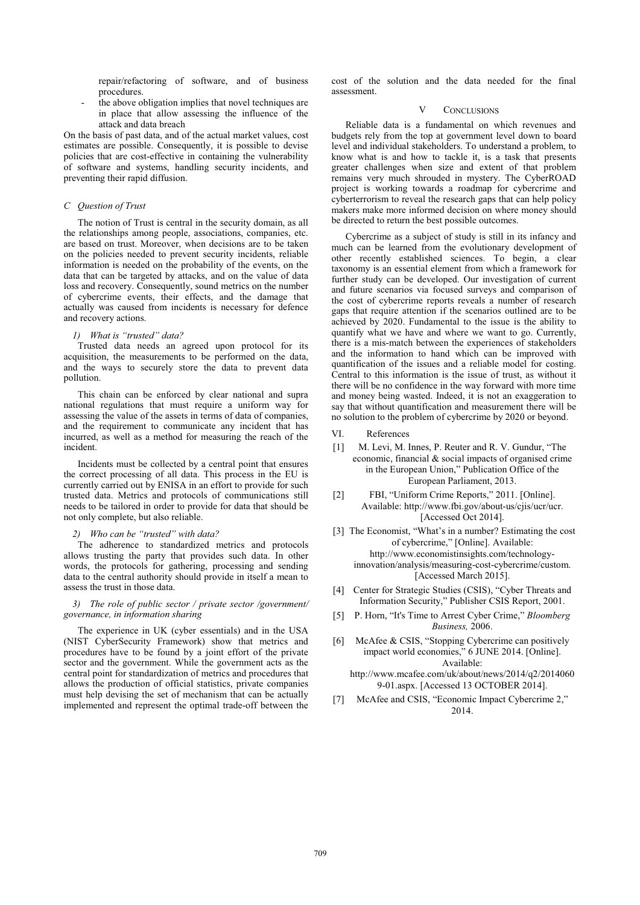repair/refactoring of software, and of business procedures.

the above obligation implies that novel techniques are in place that allow assessing the influence of the attack and data breach

On the basis of past data, and of the actual market values, cost estimates are possible. Consequently, it is possible to devise policies that are cost-effective in containing the vulnerability of software and systems, handling security incidents, and preventing their rapid diffusion.

# *C Question of Trust*

The notion of Trust is central in the security domain, as all the relationships among people, associations, companies, etc. are based on trust. Moreover, when decisions are to be taken on the policies needed to prevent security incidents, reliable information is needed on the probability of the events, on the data that can be targeted by attacks, and on the value of data loss and recovery. Consequently, sound metrics on the number of cybercrime events, their effects, and the damage that actually was caused from incidents is necessary for defence and recovery actions.

# *1) What is "trusted" data?*

Trusted data needs an agreed upon protocol for its acquisition, the measurements to be performed on the data, and the ways to securely store the data to prevent data pollution.

This chain can be enforced by clear national and supra national regulations that must require a uniform way for assessing the value of the assets in terms of data of companies, and the requirement to communicate any incident that has incurred, as well as a method for measuring the reach of the incident.

Incidents must be collected by a central point that ensures the correct processing of all data. This process in the EU is currently carried out by ENISA in an effort to provide for such trusted data. Metrics and protocols of communications still needs to be tailored in order to provide for data that should be not only complete, but also reliable.

## *2) Who can be "trusted" with data?*

The adherence to standardized metrics and protocols allows trusting the party that provides such data. In other words, the protocols for gathering, processing and sending data to the central authority should provide in itself a mean to assess the trust in those data.

# *3) The role of public sector / private sector /government/ governance, in information sharing*

The experience in UK (cyber essentials) and in the USA (NIST CyberSecurity Framework) show that metrics and procedures have to be found by a joint effort of the private sector and the government. While the government acts as the central point for standardization of metrics and procedures that allows the production of official statistics, private companies must help devising the set of mechanism that can be actually implemented and represent the optimal trade-off between the

cost of the solution and the data needed for the final assessment.

# V CONCLUSIONS

Reliable data is a fundamental on which revenues and budgets rely from the top at government level down to board level and individual stakeholders. To understand a problem, to know what is and how to tackle it, is a task that presents greater challenges when size and extent of that problem remains very much shrouded in mystery. The CyberROAD project is working towards a roadmap for cybercrime and cyberterrorism to reveal the research gaps that can help policy makers make more informed decision on where money should be directed to return the best possible outcomes.

Cybercrime as a subject of study is still in its infancy and much can be learned from the evolutionary development of other recently established sciences. To begin, a clear taxonomy is an essential element from which a framework for further study can be developed. Our investigation of current and future scenarios via focused surveys and comparison of the cost of cybercrime reports reveals a number of research gaps that require attention if the scenarios outlined are to be achieved by 2020. Fundamental to the issue is the ability to quantify what we have and where we want to go. Currently, there is a mis-match between the experiences of stakeholders and the information to hand which can be improved with quantification of the issues and a reliable model for costing. Central to this information is the issue of trust, as without it there will be no confidence in the way forward with more time and money being wasted. Indeed, it is not an exaggeration to say that without quantification and measurement there will be no solution to the problem of cybercrime by 2020 or beyond.

- VI. References
- [1] M. Levi, M. Innes, P. Reuter and R. V. Gundur, "The economic, financial & social impacts of organised crime in the European Union," Publication Office of the European Parliament, 2013.
- [2] FBI, "Uniform Crime Reports," 2011. [Online]. Available: http://www.fbi.gov/about-us/cjis/ucr/ucr. [Accessed Oct 2014].
- [3] The Economist, "What's in a number? Estimating the cost of cybercrime," [Online]. Available: http://www.economistinsights.com/technologyinnovation/analysis/measuring-cost-cybercrime/custom. [Accessed March 2015].
- [4] Center for Strategic Studies (CSIS), "Cyber Threats and Information Security," Publisher CSIS Report, 2001.
- [5] P. Horn, "It's Time to Arrest Cyber Crime," *Bloomberg Business,* 2006.
- [6] McAfee & CSIS, "Stopping Cybercrime can positively impact world economies," 6 JUNE 2014. [Online]. Available:
	- http://www.mcafee.com/uk/about/news/2014/q2/2014060 9-01.aspx. [Accessed 13 OCTOBER 2014].
- [7] McAfee and CSIS, "Economic Impact Cybercrime 2," 2014.